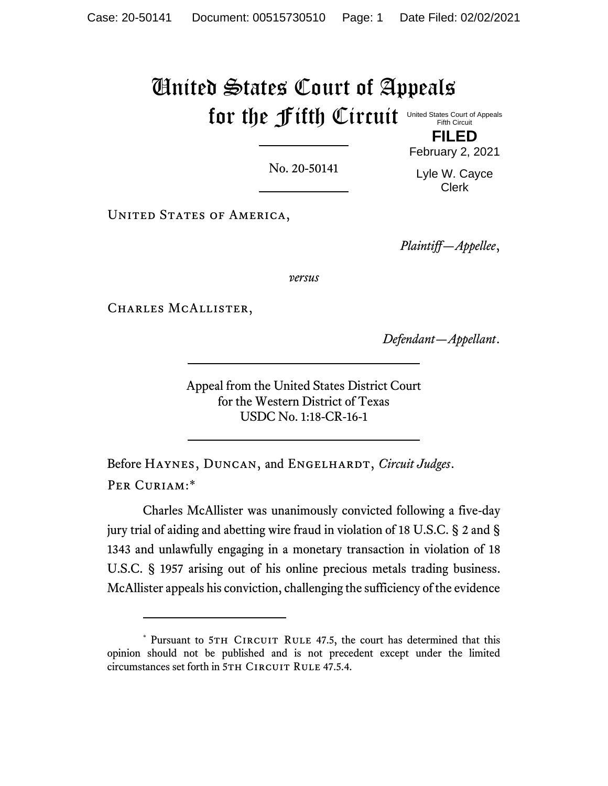# United States Court of Appeals for the fifth Circuit United States Court of Appeals Fifth Circuit

No. 20-50141

February 2, 2021 Lyle W. Cayce

Clerk

**FILED**

UNITED STATES OF AMERICA,

*Plaintiff—Appellee*,

*versus*

CHARLES MCALLISTER,

*Defendant—Appellant*.

Appeal from the United States District Court for the Western District of Texas USDC No. 1:18-CR-16-1

Before Haynes, Duncan, and Engelhardt, *Circuit Judges*. PER CURIAM:\*

Charles McAllister was unanimously convicted following a five-day jury trial of aiding and abetting wire fraud in violation of 18 U.S.C. § 2 and § 1343 and unlawfully engaging in a monetary transaction in violation of 18 U.S.C. § 1957 arising out of his online precious metals trading business. McAllister appeals his conviction, challenging the sufficiency of the evidence

<sup>\*</sup> Pursuant to 5TH CIRCUIT RULE 47.5, the court has determined that this opinion should not be published and is not precedent except under the limited circumstances set forth in 5TH CIRCUIT RULE 47.5.4.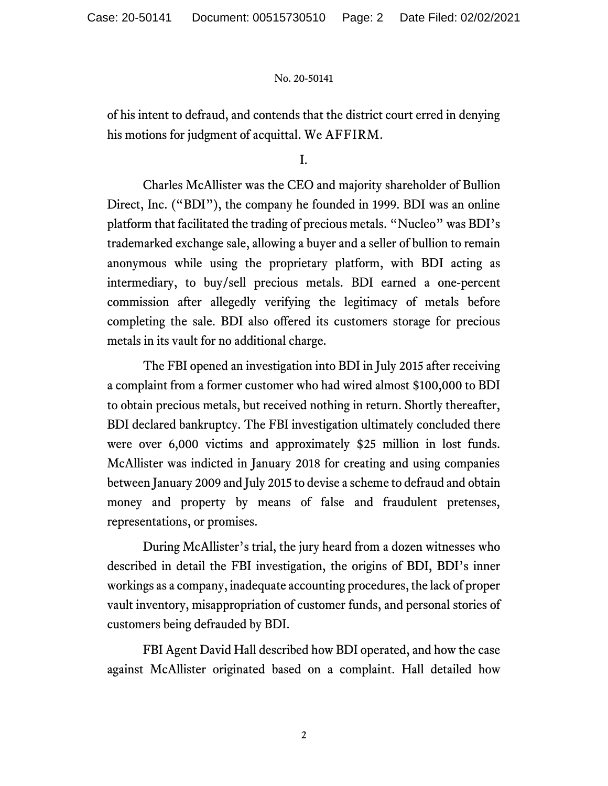of his intent to defraud, and contends that the district court erred in denying his motions for judgment of acquittal. We AFFIRM.

I.

Charles McAllister was the CEO and majority shareholder of Bullion Direct, Inc. ("BDI"), the company he founded in 1999. BDI was an online platform that facilitated the trading of precious metals. "Nucleo" was BDI's trademarked exchange sale, allowing a buyer and a seller of bullion to remain anonymous while using the proprietary platform, with BDI acting as intermediary, to buy/sell precious metals. BDI earned a one-percent commission after allegedly verifying the legitimacy of metals before completing the sale. BDI also offered its customers storage for precious metals in its vault for no additional charge.

The FBI opened an investigation into BDI in July 2015 after receiving a complaint from a former customer who had wired almost \$100,000 to BDI to obtain precious metals, but received nothing in return. Shortly thereafter, BDI declared bankruptcy. The FBI investigation ultimately concluded there were over 6,000 victims and approximately \$25 million in lost funds. McAllister was indicted in January 2018 for creating and using companies between January 2009 and July 2015 to devise a scheme to defraud and obtain money and property by means of false and fraudulent pretenses, representations, or promises.

During McAllister's trial, the jury heard from a dozen witnesses who described in detail the FBI investigation, the origins of BDI, BDI's inner workings as a company, inadequate accounting procedures, the lack of proper vault inventory, misappropriation of customer funds, and personal stories of customers being defrauded by BDI.

FBI Agent David Hall described how BDI operated, and how the case against McAllister originated based on a complaint. Hall detailed how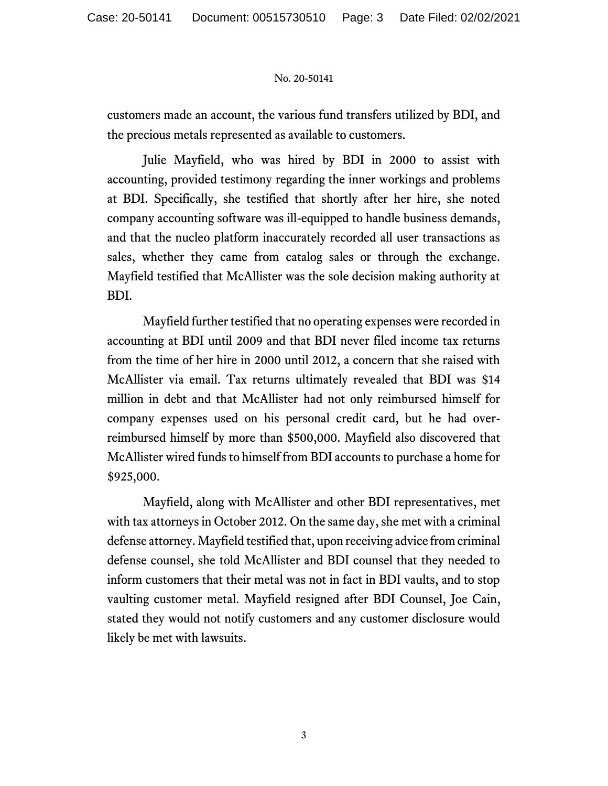customers made an account, the various fund transfers utilized by BDI, and the precious metals represented as available to customers.

Julie Mayfield, who was hired by BDI in 2000 to assist with accounting, provided testimony regarding the inner workings and problems at BDI. Specifically, she testified that shortly after her hire, she noted company accounting software was ill-equipped to handle business demands, and that the nucleo platform inaccurately recorded all user transactions as sales, whether they came from catalog sales or through the exchange. Mayfield testified that McAllister was the sole decision making authority at BDI.

Mayfield further testified that no operating expenses were recorded in accounting at BDI until 2009 and that BDI never filed income tax returns from the time of her hire in 2000 until 2012, a concern that she raised with McAllister via email. Tax returns ultimately revealed that BDI was \$14 million in debt and that McAllister had not only reimbursed himself for company expenses used on his personal credit card, but he had overreimbursed himself by more than \$500,000. Mayfield also discovered that McAllister wired funds to himself from BDI accounts to purchase a home for \$925,000.

Mayfield, along with McAllister and other BDI representatives, met with tax attorneys in October 2012. On the same day, she met with a criminal defense attorney. Mayfield testified that, upon receiving advice from criminal defense counsel, she told McAllister and BDI counsel that they needed to inform customers that their metal was not in fact in BDI vaults, and to stop vaulting customer metal. Mayfield resigned after BDI Counsel, Joe Cain, stated they would not notify customers and any customer disclosure would likely be met with lawsuits.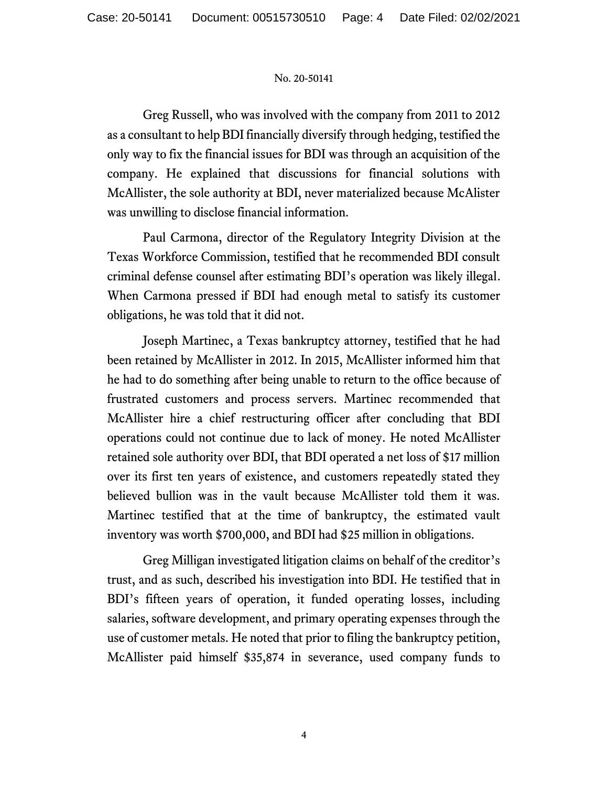Greg Russell, who was involved with the company from 2011 to 2012 as a consultant to help BDI financially diversify through hedging, testified the only way to fix the financial issues for BDI was through an acquisition of the company. He explained that discussions for financial solutions with McAllister, the sole authority at BDI, never materialized because McAlister was unwilling to disclose financial information.

Paul Carmona, director of the Regulatory Integrity Division at the Texas Workforce Commission, testified that he recommended BDI consult criminal defense counsel after estimating BDI's operation was likely illegal. When Carmona pressed if BDI had enough metal to satisfy its customer obligations, he was told that it did not.

Joseph Martinec, a Texas bankruptcy attorney, testified that he had been retained by McAllister in 2012. In 2015, McAllister informed him that he had to do something after being unable to return to the office because of frustrated customers and process servers. Martinec recommended that McAllister hire a chief restructuring officer after concluding that BDI operations could not continue due to lack of money. He noted McAllister retained sole authority over BDI, that BDI operated a net loss of \$17 million over its first ten years of existence, and customers repeatedly stated they believed bullion was in the vault because McAllister told them it was. Martinec testified that at the time of bankruptcy, the estimated vault inventory was worth \$700,000, and BDI had \$25 million in obligations.

Greg Milligan investigated litigation claims on behalf of the creditor's trust, and as such, described his investigation into BDI. He testified that in BDI's fifteen years of operation, it funded operating losses, including salaries, software development, and primary operating expenses through the use of customer metals. He noted that prior to filing the bankruptcy petition, McAllister paid himself \$35,874 in severance, used company funds to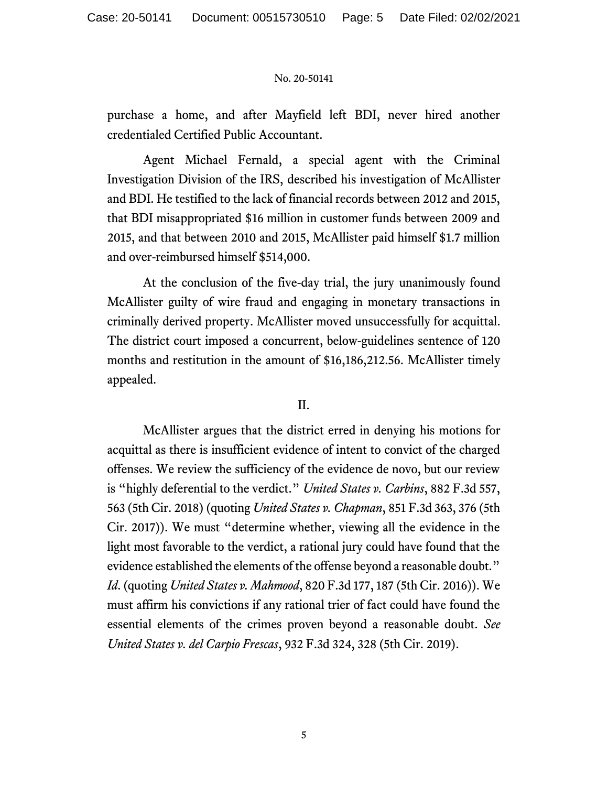purchase a home, and after Mayfield left BDI, never hired another credentialed Certified Public Accountant.

Agent Michael Fernald, a special agent with the Criminal Investigation Division of the IRS, described his investigation of McAllister and BDI. He testified to the lack of financial records between 2012 and 2015, that BDI misappropriated \$16 million in customer funds between 2009 and 2015, and that between 2010 and 2015, McAllister paid himself \$1.7 million and over-reimbursed himself \$514,000.

At the conclusion of the five-day trial, the jury unanimously found McAllister guilty of wire fraud and engaging in monetary transactions in criminally derived property. McAllister moved unsuccessfully for acquittal. The district court imposed a concurrent, below-guidelines sentence of 120 months and restitution in the amount of \$16,186,212.56. McAllister timely appealed.

## II.

McAllister argues that the district erred in denying his motions for acquittal as there is insufficient evidence of intent to convict of the charged offenses. We review the sufficiency of the evidence de novo, but our review is "highly deferential to the verdict." *United States v. Carbins*, 882 F.3d 557, 563 (5th Cir. 2018) (quoting *United States v. Chapman*, 851 F.3d 363, 376 (5th Cir. 2017)). We must "determine whether, viewing all the evidence in the light most favorable to the verdict, a rational jury could have found that the evidence established the elements of the offense beyond a reasonable doubt." *Id*. (quoting *United States v. Mahmood*, 820 F.3d 177, 187 (5th Cir. 2016)). We must affirm his convictions if any rational trier of fact could have found the essential elements of the crimes proven beyond a reasonable doubt. *See United States v. del Carpio Frescas*, 932 F.3d 324, 328 (5th Cir. 2019).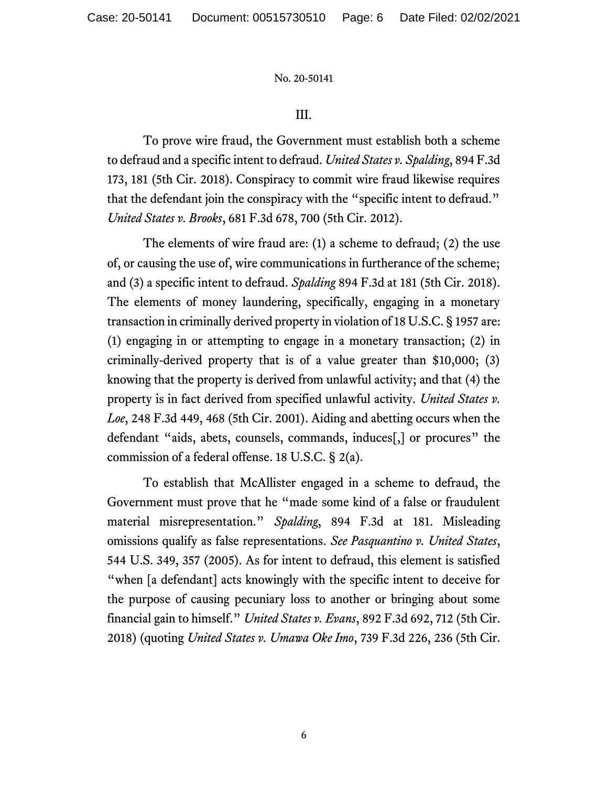## III.

To prove wire fraud, the Government must establish both a scheme to defraud and a specific intent to defraud. *United States v. Spalding*, 894 F.3d 173, 181 (5th Cir. 2018). Conspiracy to commit wire fraud likewise requires that the defendant join the conspiracy with the "specific intent to defraud." *United States v. Brooks*, 681 F.3d 678, 700 (5th Cir. 2012).

The elements of wire fraud are: (1) a scheme to defraud; (2) the use of, or causing the use of, wire communications in furtherance of the scheme; and (3) a specific intent to defraud. *Spalding* 894 F.3d at 181 (5th Cir. 2018). The elements of money laundering, specifically, engaging in a monetary transaction in criminally derived property in violation of 18 U.S.C. § 1957 are: (1) engaging in or attempting to engage in a monetary transaction; (2) in criminally-derived property that is of a value greater than \$10,000; (3) knowing that the property is derived from unlawful activity; and that (4) the property is in fact derived from specified unlawful activity. *United States v. Loe*, 248 F.3d 449, 468 (5th Cir. 2001). Aiding and abetting occurs when the defendant "aids, abets, counsels, commands, induces[,] or procures" the commission of a federal offense. 18 U.S.C. § 2(a).

To establish that McAllister engaged in a scheme to defraud, the Government must prove that he "made some kind of a false or fraudulent material misrepresentation." *Spalding*, 894 F.3d at 181. Misleading omissions qualify as false representations. *See Pasquantino v. United States*, 544 U.S. 349, 357 (2005). As for intent to defraud, this element is satisfied "when [a defendant] acts knowingly with the specific intent to deceive for the purpose of causing pecuniary loss to another or bringing about some financial gain to himself." *United States v. Evans*, 892 F.3d 692, 712 (5th Cir. 2018) (quoting *United States v. Umawa Oke Imo*, 739 F.3d 226, 236 (5th Cir.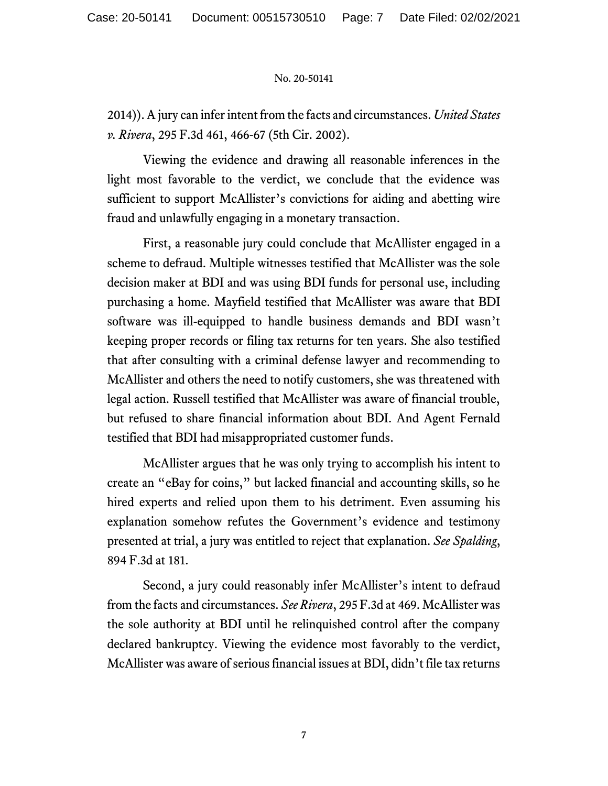2014)). A jury can infer intent from the facts and circumstances. *United States v. Rivera*, 295 F.3d 461, 466-67 (5th Cir. 2002).

Viewing the evidence and drawing all reasonable inferences in the light most favorable to the verdict, we conclude that the evidence was sufficient to support McAllister's convictions for aiding and abetting wire fraud and unlawfully engaging in a monetary transaction.

First, a reasonable jury could conclude that McAllister engaged in a scheme to defraud. Multiple witnesses testified that McAllister was the sole decision maker at BDI and was using BDI funds for personal use, including purchasing a home. Mayfield testified that McAllister was aware that BDI software was ill-equipped to handle business demands and BDI wasn't keeping proper records or filing tax returns for ten years. She also testified that after consulting with a criminal defense lawyer and recommending to McAllister and others the need to notify customers, she was threatened with legal action. Russell testified that McAllister was aware of financial trouble, but refused to share financial information about BDI. And Agent Fernald testified that BDI had misappropriated customer funds.

McAllister argues that he was only trying to accomplish his intent to create an "eBay for coins," but lacked financial and accounting skills, so he hired experts and relied upon them to his detriment. Even assuming his explanation somehow refutes the Government's evidence and testimony presented at trial, a jury was entitled to reject that explanation. *See Spalding*, 894 F.3d at 181.

Second, a jury could reasonably infer McAllister's intent to defraud from the facts and circumstances. *See Rivera*, 295 F.3d at 469. McAllister was the sole authority at BDI until he relinquished control after the company declared bankruptcy. Viewing the evidence most favorably to the verdict, McAllister was aware of serious financial issues at BDI, didn't file tax returns